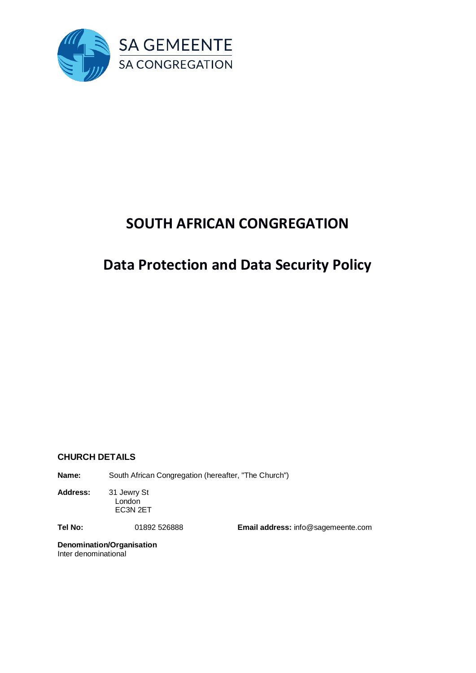

# **SOUTH AFRICAN CONGREGATION**

# **Data Protection and Data Security Policy**

## **CHURCH DETAILS**

**Name:** South African Congregation (hereafter, "The Church")

**Address:** 31 Jewry St London EC3N 2ET

**Tel No:** 01892 526888 **Email address:** info@sagemeente.com

**Denomination/Organisation** Inter denominational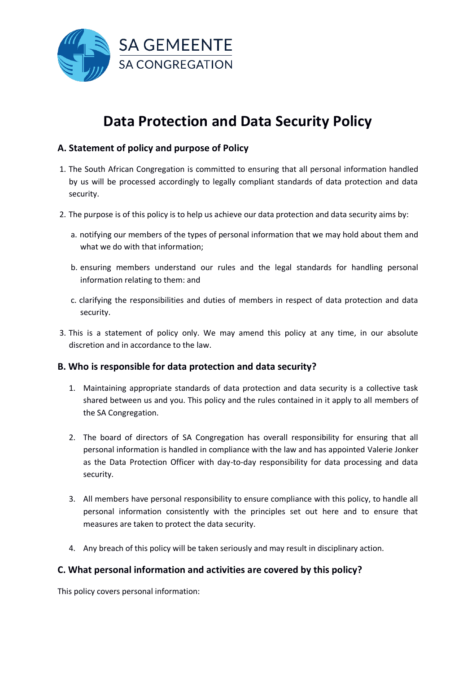

# **Data Protection and Data Security Policy**

## **A. Statement of policy and purpose of Policy**

- 1. The South African Congregation is committed to ensuring that all personal information handled by us will be processed accordingly to legally compliant standards of data protection and data security.
- 2. The purpose is of this policy is to help us achieve our data protection and data security aims by:
	- a. notifying our members of the types of personal information that we may hold about them and what we do with that information;
	- b. ensuring members understand our rules and the legal standards for handling personal information relating to them: and
	- c. clarifying the responsibilities and duties of members in respect of data protection and data security.
- 3. This is a statement of policy only. We may amend this policy at any time, in our absolute discretion and in accordance to the law.

## **B. Who is responsible for data protection and data security?**

- 1. Maintaining appropriate standards of data protection and data security is a collective task shared between us and you. This policy and the rules contained in it apply to all members of the SA Congregation.
- 2. The board of directors of SA Congregation has overall responsibility for ensuring that all personal information is handled in compliance with the law and has appointed Valerie Jonker as the Data Protection Officer with day-to-day responsibility for data processing and data security.
- 3. All members have personal responsibility to ensure compliance with this policy, to handle all personal information consistently with the principles set out here and to ensure that measures are taken to protect the data security.
- 4. Any breach of this policy will be taken seriously and may result in disciplinary action.

## **C. What personal information and activities are covered by this policy?**

This policy covers personal information: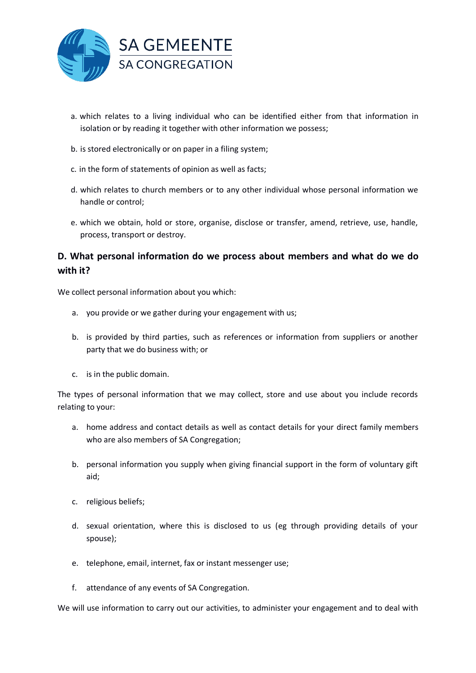

- a. which relates to a living individual who can be identified either from that information in isolation or by reading it together with other information we possess;
- b. is stored electronically or on paper in a filing system;
- c. in the form of statements of opinion as well as facts;
- d. which relates to church members or to any other individual whose personal information we handle or control;
- e. which we obtain, hold or store, organise, disclose or transfer, amend, retrieve, use, handle, process, transport or destroy.

## **D. What personal information do we process about members and what do we do with it?**

We collect personal information about you which:

- a. you provide or we gather during your engagement with us;
- b. is provided by third parties, such as references or information from suppliers or another party that we do business with; or
- c. is in the public domain.

The types of personal information that we may collect, store and use about you include records relating to your:

- a. home address and contact details as well as contact details for your direct family members who are also members of SA Congregation;
- b. personal information you supply when giving financial support in the form of voluntary gift aid;
- c. religious beliefs;
- d. sexual orientation, where this is disclosed to us (eg through providing details of your spouse);
- e. telephone, email, internet, fax or instant messenger use;
- f. attendance of any events of SA Congregation.

We will use information to carry out our activities, to administer your engagement and to deal with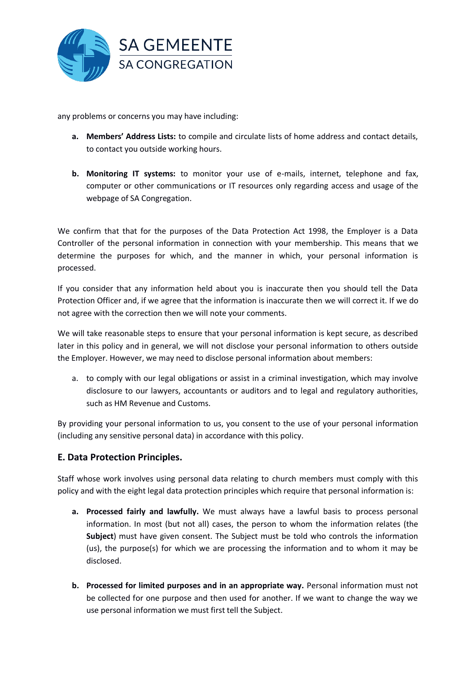

any problems or concerns you may have including:

- **a. Members' Address Lists:** to compile and circulate lists of home address and contact details, to contact you outside working hours.
- **b. Monitoring IT systems:** to monitor your use of e-mails, internet, telephone and fax, computer or other communications or IT resources only regarding access and usage of the webpage of SA Congregation.

We confirm that that for the purposes of the Data Protection Act 1998, the Employer is a Data Controller of the personal information in connection with your membership. This means that we determine the purposes for which, and the manner in which, your personal information is processed.

If you consider that any information held about you is inaccurate then you should tell the Data Protection Officer and, if we agree that the information is inaccurate then we will correct it. If we do not agree with the correction then we will note your comments.

We will take reasonable steps to ensure that your personal information is kept secure, as described later in this policy and in general, we will not disclose your personal information to others outside the Employer. However, we may need to disclose personal information about members:

a. to comply with our legal obligations or assist in a criminal investigation, which may involve disclosure to our lawyers, accountants or auditors and to legal and regulatory authorities, such as HM Revenue and Customs.

By providing your personal information to us, you consent to the use of your personal information (including any sensitive personal data) in accordance with this policy.

## **E. Data Protection Principles.**

Staff whose work involves using personal data relating to church members must comply with this policy and with the eight legal data protection principles which require that personal information is:

- **a. Processed fairly and lawfully.** We must always have a lawful basis to process personal information. In most (but not all) cases, the person to whom the information relates (the **Subject**) must have given consent. The Subject must be told who controls the information (us), the purpose(s) for which we are processing the information and to whom it may be disclosed.
- **b. Processed for limited purposes and in an appropriate way.** Personal information must not be collected for one purpose and then used for another. If we want to change the way we use personal information we must first tell the Subject.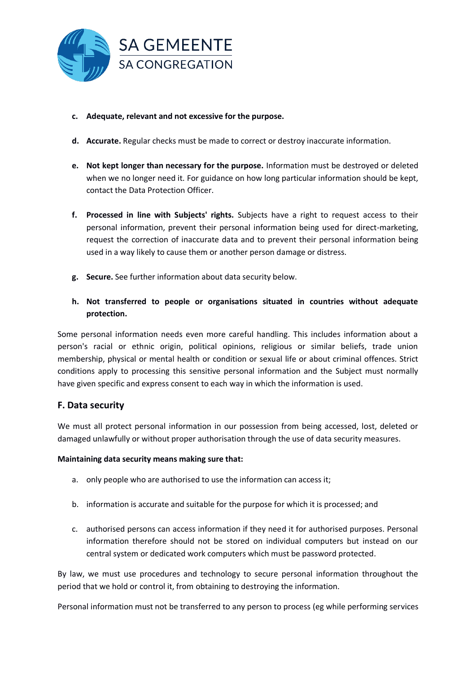

- **c. Adequate, relevant and not excessive for the purpose.**
- **d. Accurate.** Regular checks must be made to correct or destroy inaccurate information.
- **e. Not kept longer than necessary for the purpose.** Information must be destroyed or deleted when we no longer need it. For guidance on how long particular information should be kept, contact the Data Protection Officer.
- **f. Processed in line with Subjects' rights.** Subjects have a right to request access to their personal information, prevent their personal information being used for direct-marketing, request the correction of inaccurate data and to prevent their personal information being used in a way likely to cause them or another person damage or distress.
- **g. Secure.** See further information about data security below.
- **h. Not transferred to people or organisations situated in countries without adequate protection.**

Some personal information needs even more careful handling. This includes information about a person's racial or ethnic origin, political opinions, religious or similar beliefs, trade union membership, physical or mental health or condition or sexual life or about criminal offences. Strict conditions apply to processing this sensitive personal information and the Subject must normally have given specific and express consent to each way in which the information is used.

## **F. Data security**

We must all protect personal information in our possession from being accessed, lost, deleted or damaged unlawfully or without proper authorisation through the use of data security measures.

#### **Maintaining data security means making sure that:**

- a. only people who are authorised to use the information can access it;
- b. information is accurate and suitable for the purpose for which it is processed; and
- c. authorised persons can access information if they need it for authorised purposes. Personal information therefore should not be stored on individual computers but instead on our central system or dedicated work computers which must be password protected.

By law, we must use procedures and technology to secure personal information throughout the period that we hold or control it, from obtaining to destroying the information.

Personal information must not be transferred to any person to process (eg while performing services